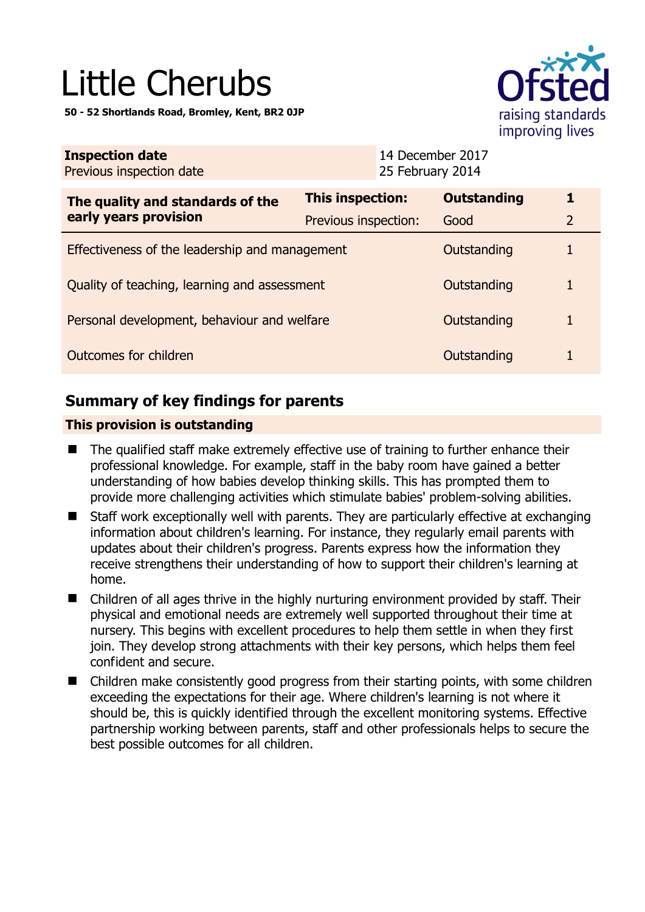# Little Cherubs

**50 - 52 Shortlands Road, Bromley, Kent, BR2 0JP** 



| <b>Inspection date</b><br>Previous inspection date        | 14 December 2017<br>25 February 2014 |                    |                |  |
|-----------------------------------------------------------|--------------------------------------|--------------------|----------------|--|
| The quality and standards of the<br>early years provision | <b>This inspection:</b>              | <b>Outstanding</b> | 1              |  |
|                                                           | Previous inspection:                 | Good               | $\overline{2}$ |  |
| Effectiveness of the leadership and management            |                                      | Outstanding        |                |  |
| Quality of teaching, learning and assessment              |                                      | Outstanding        |                |  |
| Personal development, behaviour and welfare               |                                      | Outstanding        |                |  |
| Outcomes for children                                     |                                      | Outstanding        |                |  |
|                                                           |                                      |                    |                |  |

# **Summary of key findings for parents**

## **This provision is outstanding**

- The qualified staff make extremely effective use of training to further enhance their professional knowledge. For example, staff in the baby room have gained a better understanding of how babies develop thinking skills. This has prompted them to provide more challenging activities which stimulate babies' problem-solving abilities.
- Staff work exceptionally well with parents. They are particularly effective at exchanging information about children's learning. For instance, they regularly email parents with updates about their children's progress. Parents express how the information they receive strengthens their understanding of how to support their children's learning at home.
- Children of all ages thrive in the highly nurturing environment provided by staff. Their physical and emotional needs are extremely well supported throughout their time at nursery. This begins with excellent procedures to help them settle in when they first join. They develop strong attachments with their key persons, which helps them feel confident and secure.
- Children make consistently good progress from their starting points, with some children exceeding the expectations for their age. Where children's learning is not where it should be, this is quickly identified through the excellent monitoring systems. Effective partnership working between parents, staff and other professionals helps to secure the best possible outcomes for all children.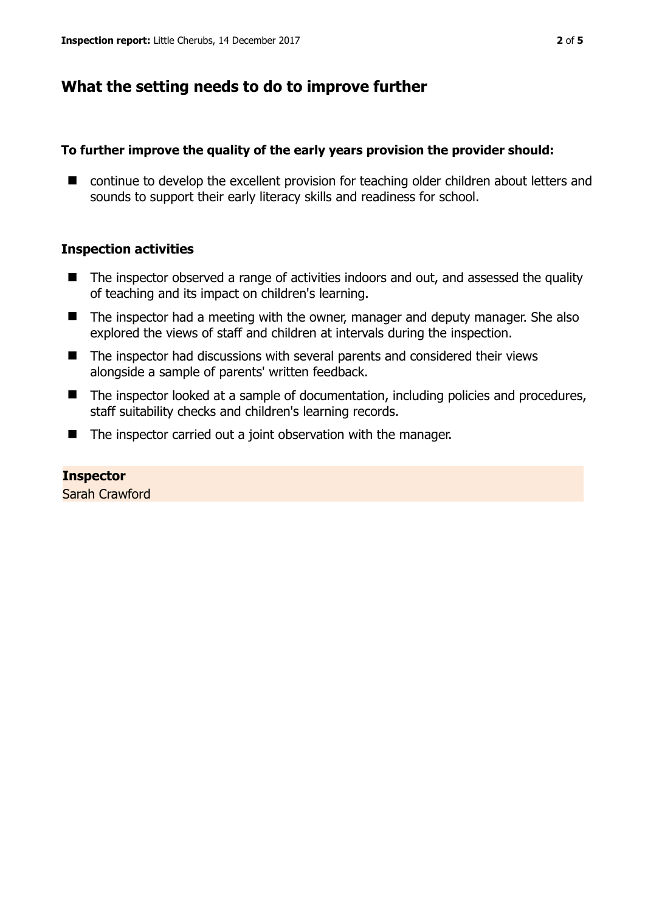## **What the setting needs to do to improve further**

#### **To further improve the quality of the early years provision the provider should:**

■ continue to develop the excellent provision for teaching older children about letters and sounds to support their early literacy skills and readiness for school.

#### **Inspection activities**

- The inspector observed a range of activities indoors and out, and assessed the quality of teaching and its impact on children's learning.
- The inspector had a meeting with the owner, manager and deputy manager. She also explored the views of staff and children at intervals during the inspection.
- The inspector had discussions with several parents and considered their views alongside a sample of parents' written feedback.
- The inspector looked at a sample of documentation, including policies and procedures, staff suitability checks and children's learning records.
- The inspector carried out a joint observation with the manager.

# **Inspector**

Sarah Crawford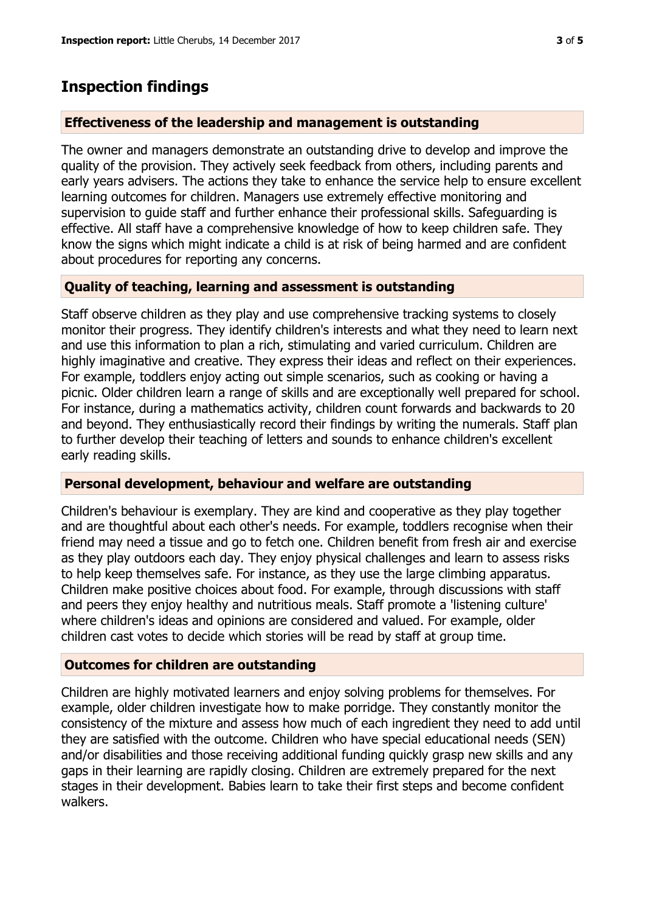## **Inspection findings**

#### **Effectiveness of the leadership and management is outstanding**

The owner and managers demonstrate an outstanding drive to develop and improve the quality of the provision. They actively seek feedback from others, including parents and early years advisers. The actions they take to enhance the service help to ensure excellent learning outcomes for children. Managers use extremely effective monitoring and supervision to guide staff and further enhance their professional skills. Safeguarding is effective. All staff have a comprehensive knowledge of how to keep children safe. They know the signs which might indicate a child is at risk of being harmed and are confident about procedures for reporting any concerns.

## **Quality of teaching, learning and assessment is outstanding**

Staff observe children as they play and use comprehensive tracking systems to closely monitor their progress. They identify children's interests and what they need to learn next and use this information to plan a rich, stimulating and varied curriculum. Children are highly imaginative and creative. They express their ideas and reflect on their experiences. For example, toddlers enjoy acting out simple scenarios, such as cooking or having a picnic. Older children learn a range of skills and are exceptionally well prepared for school. For instance, during a mathematics activity, children count forwards and backwards to 20 and beyond. They enthusiastically record their findings by writing the numerals. Staff plan to further develop their teaching of letters and sounds to enhance children's excellent early reading skills.

#### **Personal development, behaviour and welfare are outstanding**

Children's behaviour is exemplary. They are kind and cooperative as they play together and are thoughtful about each other's needs. For example, toddlers recognise when their friend may need a tissue and go to fetch one. Children benefit from fresh air and exercise as they play outdoors each day. They enjoy physical challenges and learn to assess risks to help keep themselves safe. For instance, as they use the large climbing apparatus. Children make positive choices about food. For example, through discussions with staff and peers they enjoy healthy and nutritious meals. Staff promote a 'listening culture' where children's ideas and opinions are considered and valued. For example, older children cast votes to decide which stories will be read by staff at group time.

## **Outcomes for children are outstanding**

Children are highly motivated learners and enjoy solving problems for themselves. For example, older children investigate how to make porridge. They constantly monitor the consistency of the mixture and assess how much of each ingredient they need to add until they are satisfied with the outcome. Children who have special educational needs (SEN) and/or disabilities and those receiving additional funding quickly grasp new skills and any gaps in their learning are rapidly closing. Children are extremely prepared for the next stages in their development. Babies learn to take their first steps and become confident walkers.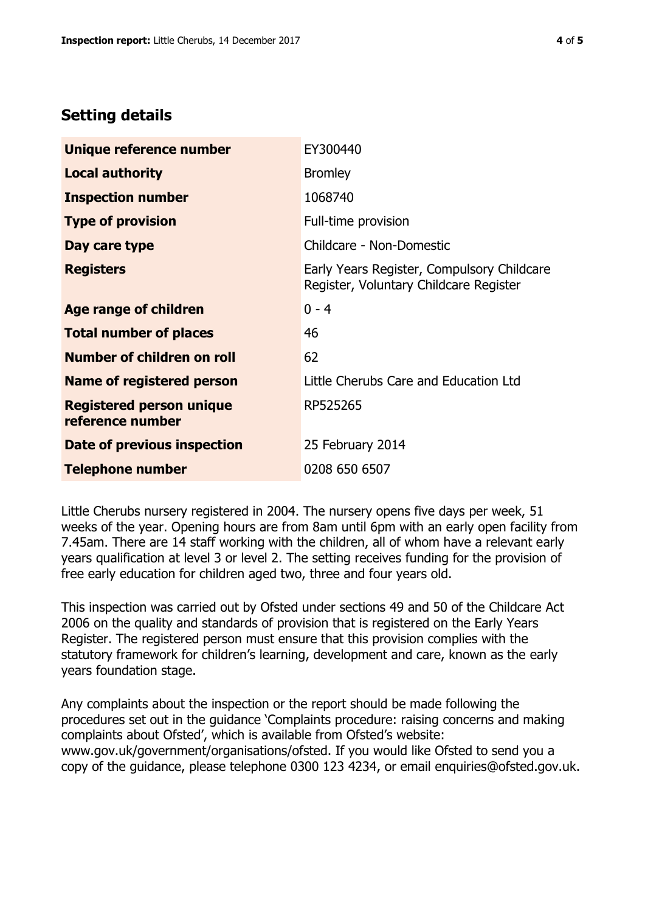## **Setting details**

| Unique reference number                             | EY300440                                                                             |  |
|-----------------------------------------------------|--------------------------------------------------------------------------------------|--|
| <b>Local authority</b>                              | <b>Bromley</b>                                                                       |  |
| <b>Inspection number</b>                            | 1068740                                                                              |  |
| <b>Type of provision</b>                            | Full-time provision                                                                  |  |
| Day care type                                       | Childcare - Non-Domestic                                                             |  |
| <b>Registers</b>                                    | Early Years Register, Compulsory Childcare<br>Register, Voluntary Childcare Register |  |
| Age range of children                               | $0 - 4$                                                                              |  |
| <b>Total number of places</b>                       | 46                                                                                   |  |
| Number of children on roll                          | 62                                                                                   |  |
| Name of registered person                           | Little Cherubs Care and Education Ltd                                                |  |
| <b>Registered person unique</b><br>reference number | RP525265                                                                             |  |
| <b>Date of previous inspection</b>                  | 25 February 2014                                                                     |  |
| <b>Telephone number</b>                             | 0208 650 6507                                                                        |  |

Little Cherubs nursery registered in 2004. The nursery opens five days per week, 51 weeks of the year. Opening hours are from 8am until 6pm with an early open facility from 7.45am. There are 14 staff working with the children, all of whom have a relevant early years qualification at level 3 or level 2. The setting receives funding for the provision of free early education for children aged two, three and four years old.

This inspection was carried out by Ofsted under sections 49 and 50 of the Childcare Act 2006 on the quality and standards of provision that is registered on the Early Years Register. The registered person must ensure that this provision complies with the statutory framework for children's learning, development and care, known as the early years foundation stage.

Any complaints about the inspection or the report should be made following the procedures set out in the guidance 'Complaints procedure: raising concerns and making complaints about Ofsted', which is available from Ofsted's website: www.gov.uk/government/organisations/ofsted. If you would like Ofsted to send you a copy of the guidance, please telephone 0300 123 4234, or email enquiries@ofsted.gov.uk.